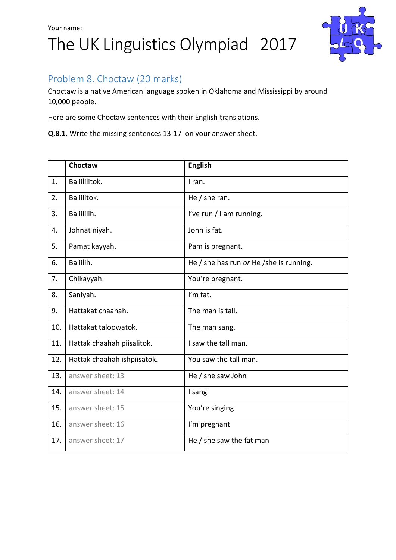

### Problem 8. Choctaw (20 marks)

Choctaw is a native American language spoken in Oklahoma and Mississippi by around 10,000 people.

Here are some Choctaw sentences with their English translations.

**Q.8.1.** Write the missing sentences 13-17 on your answer sheet.

|     | Choctaw                     | <b>English</b>                           |  |  |
|-----|-----------------------------|------------------------------------------|--|--|
| 1.  | Baliililitok.               | I ran.                                   |  |  |
| 2.  | Baliilitok.                 | He $/$ she ran.                          |  |  |
| 3.  | Baliililih.                 | I've run / I am running.                 |  |  |
| 4.  | Johnat niyah.               | John is fat.                             |  |  |
| 5.  | Pamat kayyah.               | Pam is pregnant.                         |  |  |
| 6.  | Baliilih.                   | He / she has run or He / she is running. |  |  |
| 7.  | Chikayyah.                  | You're pregnant.                         |  |  |
| 8.  | Saniyah.                    | I'm fat.                                 |  |  |
| 9.  | Hattakat chaahah.           | The man is tall.                         |  |  |
| 10. | Hattakat taloowatok.        | The man sang.                            |  |  |
| 11. | Hattak chaahah piisalitok.  | I saw the tall man.                      |  |  |
| 12. | Hattak chaahah ishpiisatok. | You saw the tall man.                    |  |  |
| 13. | answer sheet: 13            | He / she saw John                        |  |  |
| 14. | answer sheet: 14            | I sang                                   |  |  |
| 15. | answer sheet: 15            | You're singing                           |  |  |
| 16. | answer sheet: 16            | I'm pregnant                             |  |  |
| 17. | answer sheet: 17            | He / she saw the fat man                 |  |  |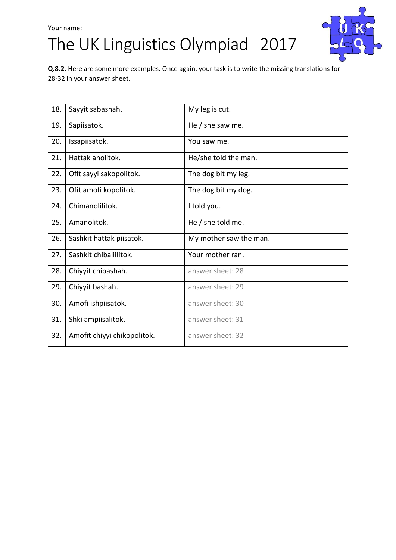## The UK Linguistics Olympiad 2017



**Q.8.2.** Here are some more examples. Once again, your task is to write the missing translations for 28-32 in your answer sheet.

| 18. | Sayyit sabashah.            | My leg is cut.         |
|-----|-----------------------------|------------------------|
| 19. | Sapiisatok.                 | He $/$ she saw me.     |
| 20. | Issapiisatok.               | You saw me.            |
| 21. | Hattak anolitok.            | He/she told the man.   |
| 22. | Ofit sayyi sakopolitok.     | The dog bit my leg.    |
| 23. | Ofit amofi kopolitok.       | The dog bit my dog.    |
| 24. | Chimanolilitok.             | I told you.            |
| 25. | Amanolitok.                 | He $/$ she told me.    |
| 26. | Sashkit hattak piisatok.    | My mother saw the man. |
| 27. | Sashkit chibaliilitok.      | Your mother ran.       |
| 28. | Chiyyit chibashah.          | answer sheet: 28       |
| 29. | Chiyyit bashah.             | answer sheet: 29       |
| 30. | Amofi ishpiisatok.          | answer sheet: 30       |
| 31. | Shki ampiisalitok.          | answer sheet: 31       |
| 32. | Amofit chiyyi chikopolitok. | answer sheet: 32       |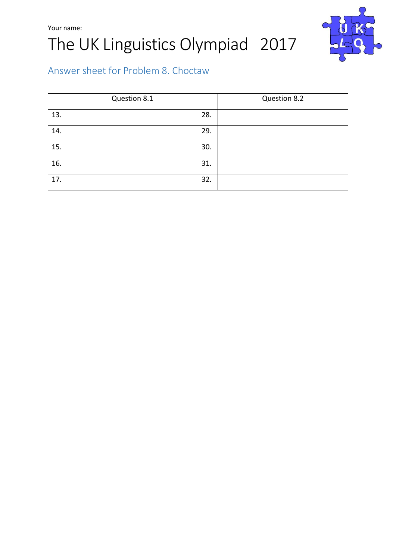## Your name: The UK Linguistics Olympiad 2017



### Answer sheet for Problem 8. Choctaw

|     | Question 8.1 |     | Question 8.2 |
|-----|--------------|-----|--------------|
| 13. |              | 28. |              |
| 14. |              | 29. |              |
| 15. |              | 30. |              |
| 16. |              | 31. |              |
| 17. |              | 32. |              |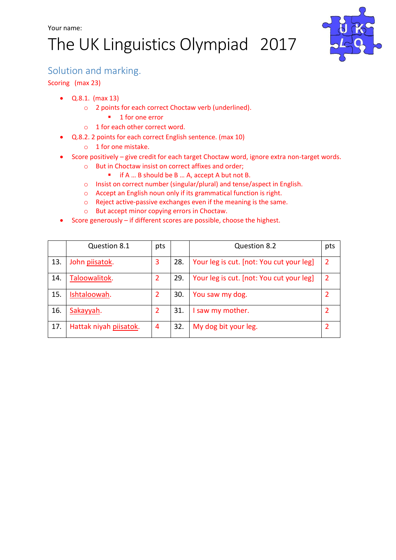# The UK Linguistics Olympiad 2017



#### Solution and marking.

Scoring (max 23)

- Q.8.1. (max 13)
	- o 2 points for each correct Choctaw verb (underlined).
		- 1 for one error
	- o 1 for each other correct word.
- Q.8.2. 2 points for each correct English sentence. (max 10)
	- o 1 for one mistake.
- Score positively give credit for each target Choctaw word, ignore extra non-target words.
	- o But in Choctaw insist on correct affixes and order;
		- if A ... B should be B ... A, accept A but not B.
	- o Insist on correct number (singular/plural) and tense/aspect in English.
	- o Accept an English noun only if its grammatical function is right.
	- o Reject active-passive exchanges even if the meaning is the same.
	- o But accept minor copying errors in Choctaw.
- Score generously if different scores are possible, choose the highest.

|     | Question 8.1           | pts |     | Question 8.2                             | pts |
|-----|------------------------|-----|-----|------------------------------------------|-----|
| 13. | John piisatok.         | 3   | 28. | Your leg is cut. [not: You cut your leg] | 2   |
| 14. | Taloowalitok.          |     | 29. | Your leg is cut. [not: You cut your leg] | 2   |
| 15. | Ishtaloowah.           |     | 30. | You saw my dog.                          |     |
| 16. | Sakayyah.              |     | 31. | I saw my mother.                         |     |
| 17. | Hattak niyah piisatok. | 4   | 32. | My dog bit your leg.                     |     |